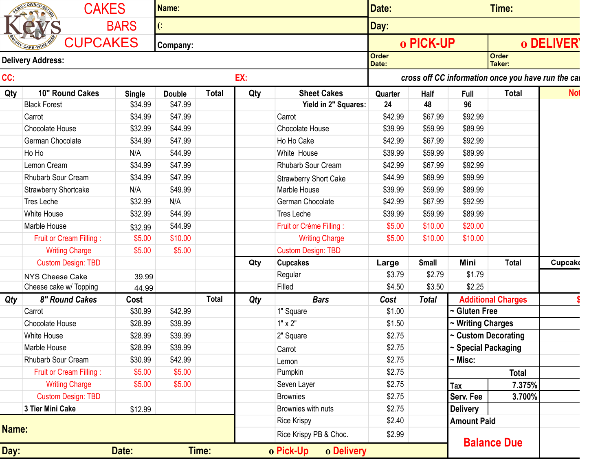| CC:   | <b>CUPCAKES</b><br><b>Delivery Address:</b> | <b>BARS</b>   | $\left($ :    |              |     |                              |                       |              |                     |                                                     |               |
|-------|---------------------------------------------|---------------|---------------|--------------|-----|------------------------------|-----------------------|--------------|---------------------|-----------------------------------------------------|---------------|
|       |                                             |               |               |              |     |                              | Day:                  |              |                     |                                                     |               |
|       |                                             |               | Company:      |              |     |                              |                       | o PICK-UP    |                     |                                                     | o DELIVER     |
|       |                                             |               |               |              |     |                              | <b>Order</b><br>Date: |              |                     | <b>Order</b><br>Taker:                              |               |
|       |                                             |               |               |              | EX: |                              |                       |              |                     | cross off CC information once you have run the call |               |
| Qty   | 10" Round Cakes                             | <b>Single</b> | <b>Double</b> | <b>Total</b> | Qty | <b>Sheet Cakes</b>           | Quarter               | Half         | Full                | <b>Total</b>                                        | <b>Not</b>    |
|       | <b>Black Forest</b>                         | \$34.99       | \$47.99       |              |     | Yield in 2" Squares:         | 24                    | 48           | 96                  |                                                     |               |
|       | Carrot                                      | \$34.99       | \$47.99       |              |     | Carrot                       | \$42.99               | \$67.99      | \$92.99             |                                                     |               |
|       | Chocolate House                             | \$32.99       | \$44.99       |              |     | Chocolate House              | \$39.99               | \$59.99      | \$89.99             |                                                     |               |
|       | German Chocolate                            | \$34.99       | \$47.99       |              |     | Ho Ho Cake                   | \$42.99               | \$67.99      | \$92.99             |                                                     |               |
|       | Ho Ho                                       | N/A           | \$44.99       |              |     | White House                  | \$39.99               | \$59.99      | \$89.99             |                                                     |               |
|       | Lemon Cream                                 | \$34.99       | \$47.99       |              |     | Rhubarb Sour Cream           | \$42.99               | \$67.99      | \$92.99             |                                                     |               |
|       | Rhubarb Sour Cream                          | \$34.99       | \$47.99       |              |     | <b>Strawberry Short Cake</b> | \$44.99               | \$69.99      | \$99.99             |                                                     |               |
|       | Strawberry Shortcake                        | N/A           | \$49.99       |              |     | Marble House                 | \$39.99               | \$59.99      | \$89.99             |                                                     |               |
|       | Tres Leche                                  | \$32.99       | N/A           |              |     | German Chocolate             | \$42.99               | \$67.99      | \$92.99             |                                                     |               |
|       | <b>White House</b>                          | \$32.99       | \$44.99       |              |     | Tres Leche                   | \$39.99               | \$59.99      | \$89.99             |                                                     |               |
|       | Marble House                                | \$32.99       | \$44.99       |              |     | Fruit or Crème Filling :     | \$5.00                | \$10.00      | \$20.00             |                                                     |               |
|       | Fruit or Cream Filling:                     | \$5.00        | \$10.00       |              |     | <b>Writing Charge</b>        | \$5.00                | \$10.00      | \$10.00             |                                                     |               |
|       | <b>Writing Charge</b>                       | \$5.00        | \$5.00        |              |     | <b>Custom Design: TBD</b>    |                       |              |                     |                                                     |               |
|       | <b>Custom Design: TBD</b>                   |               |               |              | Qty | <b>Cupcakes</b>              | Large                 | <b>Small</b> | Mini                | <b>Total</b>                                        | <b>Cupcak</b> |
|       | <b>NYS Cheese Cake</b>                      | 39.99         |               |              |     | Regular                      | \$3.79                | \$2.79       | \$1.79              |                                                     |               |
|       | Cheese cake w/ Topping                      | 44.99         |               |              |     | Filled                       | \$4.50                | \$3.50       | \$2.25              |                                                     |               |
| Qty   | 8" Round Cakes                              | Cost          |               | <b>Total</b> | Qty | <b>Bars</b>                  | Cost                  | <b>Total</b> |                     | <b>Additional Charges</b>                           |               |
|       | Carrot                                      | \$30.99       | \$42.99       |              |     | 1" Square                    | \$1.00                |              | $\sim$ Gluten Free  |                                                     |               |
|       | Chocolate House                             | \$28.99       | \$39.99       |              |     | $1" \times 2"$               | \$1.50                |              | ~ Writing Charges   |                                                     |               |
|       | White House                                 | \$28.99       | \$39.99       |              |     | 2" Square                    | \$2.75                |              | ~ Custom Decorating |                                                     |               |
|       | Marble House                                | \$28.99       | \$39.99       |              |     | Carrot                       | \$2.75                |              | ~ Special Packaging |                                                     |               |
|       | Rhubarb Sour Cream                          | \$30.99       | \$42.99       |              |     | Lemon                        | \$2.75                |              | $\sim$ Misc:        |                                                     |               |
|       | Fruit or Cream Filling:                     | \$5.00        | \$5.00        |              |     | Pumpkin                      | \$2.75                |              |                     | <b>Total</b>                                        |               |
|       | <b>Writing Charge</b>                       | \$5.00        | \$5.00        |              |     | Seven Layer                  | \$2.75                |              | Tax                 | 7.375%                                              |               |
|       | <b>Custom Design: TBD</b>                   |               |               |              |     | <b>Brownies</b>              | \$2.75                |              | Serv. Fee           | 3.700%                                              |               |
|       | 3 Tier Mini Cake                            | \$12.99       |               |              |     | Brownies with nuts           | \$2.75                |              | <b>Delivery</b>     |                                                     |               |
|       |                                             |               |               |              |     | <b>Rice Krispy</b>           | \$2.40                |              | <b>Amount Paid</b>  |                                                     |               |
| Name: |                                             |               |               |              |     | Rice Krispy PB & Choc.       | \$2.99                |              |                     |                                                     |               |
| Day:  |                                             | Date:         |               | Time:        |     | o Delivery<br>o Pick-Up      |                       |              |                     | <b>Balance Due</b>                                  |               |